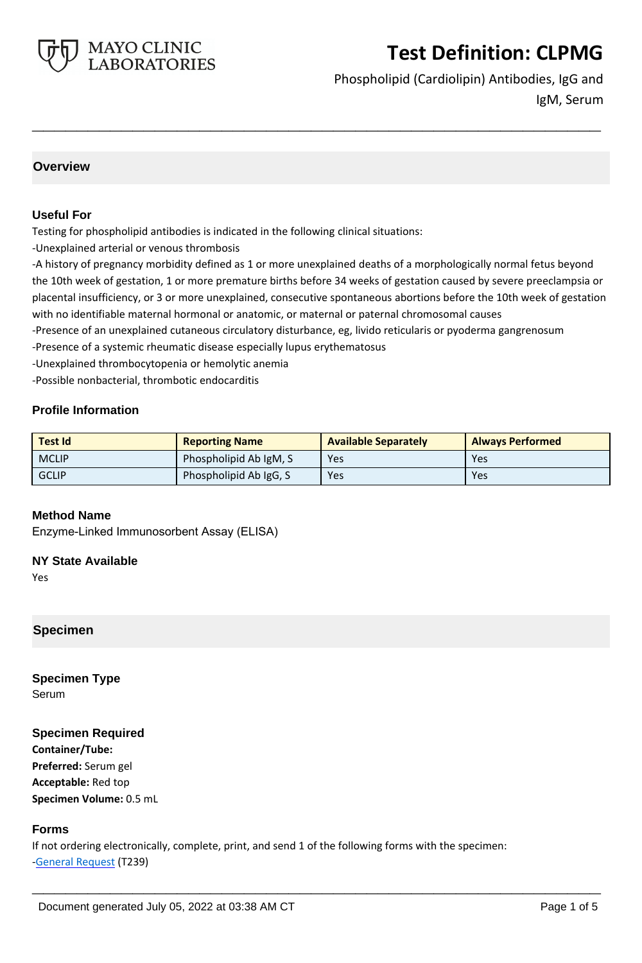

Phospholipid (Cardiolipin) Antibodies, IgG and IgM, Serum

### **Overview**

### **Useful For**

Testing for phospholipid antibodies is indicated in the following clinical situations:

-Unexplained arterial or venous thrombosis

-A history of pregnancy morbidity defined as 1 or more unexplained deaths of a morphologically normal fetus beyond the 10th week of gestation, 1 or more premature births before 34 weeks of gestation caused by severe preeclampsia or placental insufficiency, or 3 or more unexplained, consecutive spontaneous abortions before the 10th week of gestation with no identifiable maternal hormonal or anatomic, or maternal or paternal chromosomal causes

**\_\_\_\_\_\_\_\_\_\_\_\_\_\_\_\_\_\_\_\_\_\_\_\_\_\_\_\_\_\_\_\_\_\_\_\_\_\_\_\_\_\_\_\_\_\_\_\_\_\_\_**

-Presence of an unexplained cutaneous circulatory disturbance, eg, livido reticularis or pyoderma gangrenosum

-Presence of a systemic rheumatic disease especially lupus erythematosus

-Unexplained thrombocytopenia or hemolytic anemia

-Possible nonbacterial, thrombotic endocarditis

### **Profile Information**

| <b>Test Id</b> | <b>Reporting Name</b>  | <b>Available Separately</b> | <b>Always Performed</b> |
|----------------|------------------------|-----------------------------|-------------------------|
| <b>MCLIP</b>   | Phospholipid Ab IgM, S | Yes                         | Yes                     |
| <b>GCLIP</b>   | Phospholipid Ab IgG, S | Yes                         | Yes                     |

### **Method Name**

Enzyme-Linked Immunosorbent Assay (ELISA)

#### **NY State Available**

Yes

# **Specimen**

**Specimen Type** Serum

### **Specimen Required**

**Container/Tube: Preferred:** Serum gel **Acceptable:** Red top **Specimen Volume:** 0.5 mL

### **Forms**

If not ordering electronically, complete, print, and send 1 of the following forms with the specimen: [-General Request](https://www.mayocliniclabs.com/it-mmfiles/general-request-form.pdf) (T239)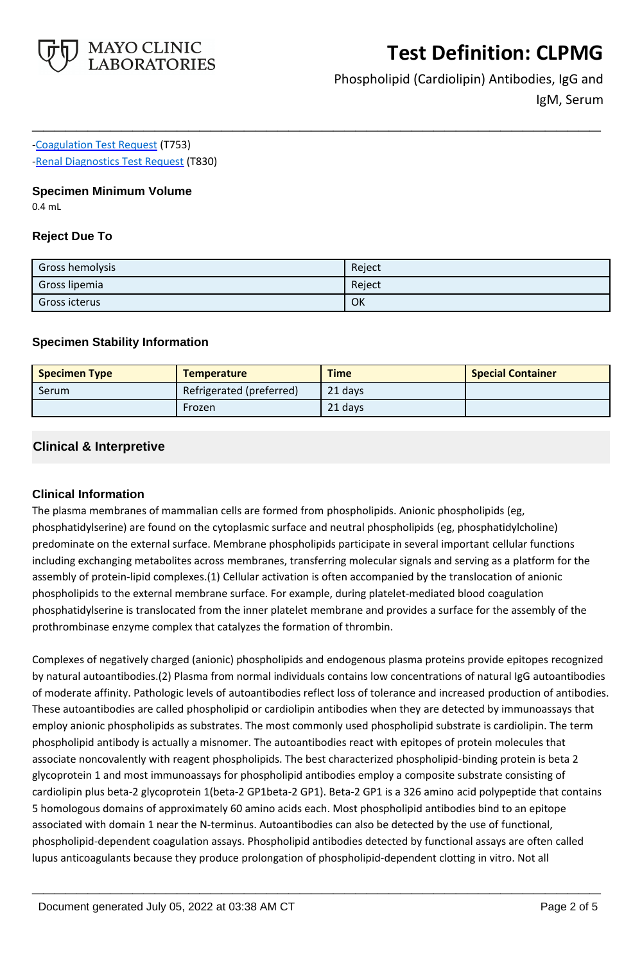

Phospholipid (Cardiolipin) Antibodies, IgG and IgM, Serum

# [-Coagulation Test Request](https://www.mayocliniclabs.com/it-mmfiles/coagulation-test-request-form.pdf) (T753)

[-Renal Diagnostics Test Request](https://www.mayocliniclabs.com/it-mmfiles/Renal-Diagnostics-Request-Form_MC0767-11.pdf) (T830)

### **Specimen Minimum Volume**

0.4 mL

## **Reject Due To**

| Gross hemolysis      | Reject |
|----------------------|--------|
| Gross lipemia        | Reject |
| <b>Gross icterus</b> | OK     |

**\_\_\_\_\_\_\_\_\_\_\_\_\_\_\_\_\_\_\_\_\_\_\_\_\_\_\_\_\_\_\_\_\_\_\_\_\_\_\_\_\_\_\_\_\_\_\_\_\_\_\_**

### **Specimen Stability Information**

| <b>Specimen Type</b> | <b>Temperature</b>       | <b>Time</b> | <b>Special Container</b> |
|----------------------|--------------------------|-------------|--------------------------|
| Serum                | Refrigerated (preferred) | 21 days     |                          |
|                      | Frozen                   | 21 days     |                          |

# **Clinical & Interpretive**

# **Clinical Information**

The plasma membranes of mammalian cells are formed from phospholipids. Anionic phospholipids (eg, phosphatidylserine) are found on the cytoplasmic surface and neutral phospholipids (eg, phosphatidylcholine) predominate on the external surface. Membrane phospholipids participate in several important cellular functions including exchanging metabolites across membranes, transferring molecular signals and serving as a platform for the assembly of protein-lipid complexes.(1) Cellular activation is often accompanied by the translocation of anionic phospholipids to the external membrane surface. For example, during platelet-mediated blood coagulation phosphatidylserine is translocated from the inner platelet membrane and provides a surface for the assembly of the prothrombinase enzyme complex that catalyzes the formation of thrombin.

Complexes of negatively charged (anionic) phospholipids and endogenous plasma proteins provide epitopes recognized by natural autoantibodies.(2) Plasma from normal individuals contains low concentrations of natural IgG autoantibodies of moderate affinity. Pathologic levels of autoantibodies reflect loss of tolerance and increased production of antibodies. These autoantibodies are called phospholipid or cardiolipin antibodies when they are detected by immunoassays that employ anionic phospholipids as substrates. The most commonly used phospholipid substrate is cardiolipin. The term phospholipid antibody is actually a misnomer. The autoantibodies react with epitopes of protein molecules that associate noncovalently with reagent phospholipids. The best characterized phospholipid-binding protein is beta 2 glycoprotein 1 and most immunoassays for phospholipid antibodies employ a composite substrate consisting of cardiolipin plus beta-2 glycoprotein 1(beta-2 GP1beta-2 GP1). Beta-2 GP1 is a 326 amino acid polypeptide that contains 5 homologous domains of approximately 60 amino acids each. Most phospholipid antibodies bind to an epitope associated with domain 1 near the N-terminus. Autoantibodies can also be detected by the use of functional, phospholipid-dependent coagulation assays. Phospholipid antibodies detected by functional assays are often called lupus anticoagulants because they produce prolongation of phospholipid-dependent clotting in vitro. Not all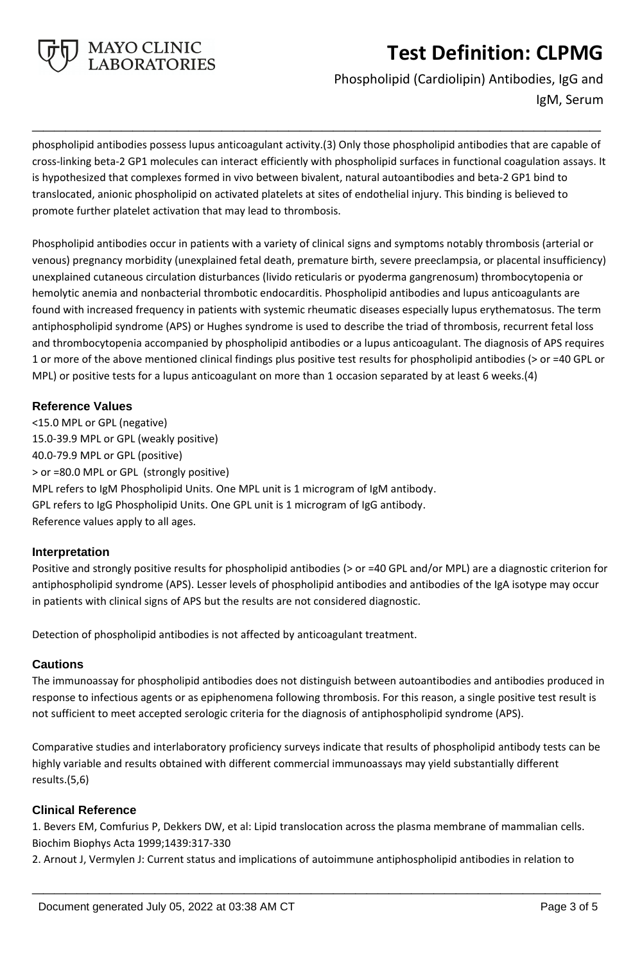

Phospholipid (Cardiolipin) Antibodies, IgG and IgM, Serum

phospholipid antibodies possess lupus anticoagulant activity.(3) Only those phospholipid antibodies that are capable of cross-linking beta-2 GP1 molecules can interact efficiently with phospholipid surfaces in functional coagulation assays. It is hypothesized that complexes formed in vivo between bivalent, natural autoantibodies and beta-2 GP1 bind to translocated, anionic phospholipid on activated platelets at sites of endothelial injury. This binding is believed to promote further platelet activation that may lead to thrombosis.

**\_\_\_\_\_\_\_\_\_\_\_\_\_\_\_\_\_\_\_\_\_\_\_\_\_\_\_\_\_\_\_\_\_\_\_\_\_\_\_\_\_\_\_\_\_\_\_\_\_\_\_**

Phospholipid antibodies occur in patients with a variety of clinical signs and symptoms notably thrombosis (arterial or venous) pregnancy morbidity (unexplained fetal death, premature birth, severe preeclampsia, or placental insufficiency) unexplained cutaneous circulation disturbances (livido reticularis or pyoderma gangrenosum) thrombocytopenia or hemolytic anemia and nonbacterial thrombotic endocarditis. Phospholipid antibodies and lupus anticoagulants are found with increased frequency in patients with systemic rheumatic diseases especially lupus erythematosus. The term antiphospholipid syndrome (APS) or Hughes syndrome is used to describe the triad of thrombosis, recurrent fetal loss and thrombocytopenia accompanied by phospholipid antibodies or a lupus anticoagulant. The diagnosis of APS requires 1 or more of the above mentioned clinical findings plus positive test results for phospholipid antibodies (> or =40 GPL or MPL) or positive tests for a lupus anticoagulant on more than 1 occasion separated by at least 6 weeks.(4)

### **Reference Values**

<15.0 MPL or GPL (negative) 15.0-39.9 MPL or GPL (weakly positive) 40.0-79.9 MPL or GPL (positive) > or =80.0 MPL or GPL (strongly positive) MPL refers to IgM Phospholipid Units. One MPL unit is 1 microgram of IgM antibody. GPL refers to IgG Phospholipid Units. One GPL unit is 1 microgram of IgG antibody. Reference values apply to all ages.

### **Interpretation**

Positive and strongly positive results for phospholipid antibodies (> or =40 GPL and/or MPL) are a diagnostic criterion for antiphospholipid syndrome (APS). Lesser levels of phospholipid antibodies and antibodies of the IgA isotype may occur in patients with clinical signs of APS but the results are not considered diagnostic.

Detection of phospholipid antibodies is not affected by anticoagulant treatment.

### **Cautions**

The immunoassay for phospholipid antibodies does not distinguish between autoantibodies and antibodies produced in response to infectious agents or as epiphenomena following thrombosis. For this reason, a single positive test result is not sufficient to meet accepted serologic criteria for the diagnosis of antiphospholipid syndrome (APS).

Comparative studies and interlaboratory proficiency surveys indicate that results of phospholipid antibody tests can be highly variable and results obtained with different commercial immunoassays may yield substantially different results.(5,6)

# **Clinical Reference**

1. Bevers EM, Comfurius P, Dekkers DW, et al: Lipid translocation across the plasma membrane of mammalian cells. Biochim Biophys Acta 1999;1439:317-330

2. Arnout J, Vermylen J: Current status and implications of autoimmune antiphospholipid antibodies in relation to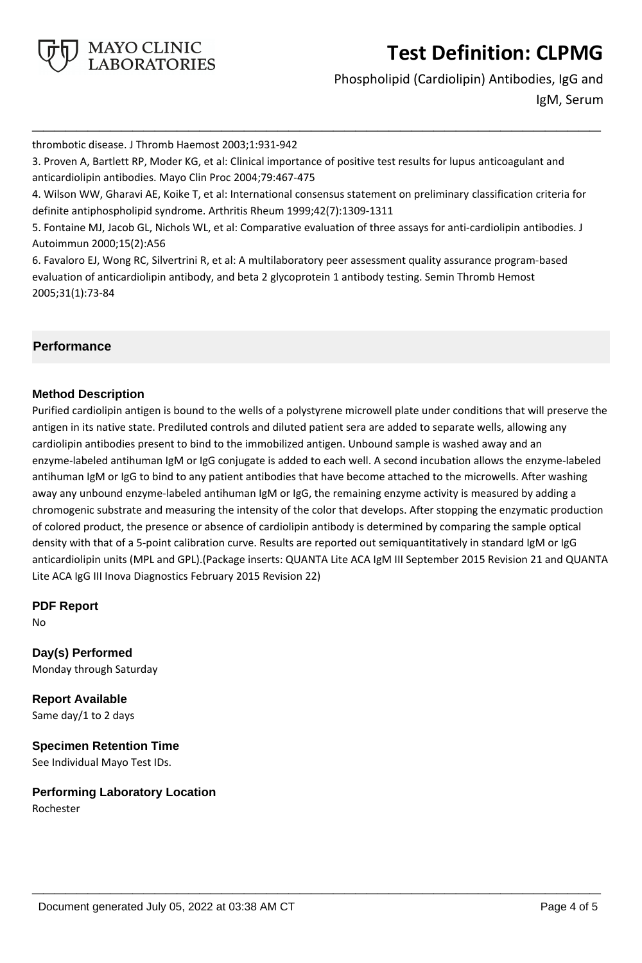

Phospholipid (Cardiolipin) Antibodies, IgG and IgM, Serum

thrombotic disease. J Thromb Haemost 2003;1:931-942

3. Proven A, Bartlett RP, Moder KG, et al: Clinical importance of positive test results for lupus anticoagulant and anticardiolipin antibodies. Mayo Clin Proc 2004;79:467-475

4. Wilson WW, Gharavi AE, Koike T, et al: International consensus statement on preliminary classification criteria for definite antiphospholipid syndrome. Arthritis Rheum 1999;42(7):1309-1311

**\_\_\_\_\_\_\_\_\_\_\_\_\_\_\_\_\_\_\_\_\_\_\_\_\_\_\_\_\_\_\_\_\_\_\_\_\_\_\_\_\_\_\_\_\_\_\_\_\_\_\_**

5. Fontaine MJ, Jacob GL, Nichols WL, et al: Comparative evaluation of three assays for anti-cardiolipin antibodies. J Autoimmun 2000;15(2):A56

6. Favaloro EJ, Wong RC, Silvertrini R, et al: A multilaboratory peer assessment quality assurance program-based evaluation of anticardiolipin antibody, and beta 2 glycoprotein 1 antibody testing. Semin Thromb Hemost 2005;31(1):73-84

# **Performance**

### **Method Description**

Purified cardiolipin antigen is bound to the wells of a polystyrene microwell plate under conditions that will preserve the antigen in its native state. Prediluted controls and diluted patient sera are added to separate wells, allowing any cardiolipin antibodies present to bind to the immobilized antigen. Unbound sample is washed away and an enzyme-labeled antihuman IgM or IgG conjugate is added to each well. A second incubation allows the enzyme-labeled antihuman IgM or IgG to bind to any patient antibodies that have become attached to the microwells. After washing away any unbound enzyme-labeled antihuman IgM or IgG, the remaining enzyme activity is measured by adding a chromogenic substrate and measuring the intensity of the color that develops. After stopping the enzymatic production of colored product, the presence or absence of cardiolipin antibody is determined by comparing the sample optical density with that of a 5-point calibration curve. Results are reported out semiquantitatively in standard IgM or IgG anticardiolipin units (MPL and GPL).(Package inserts: QUANTA Lite ACA IgM III September 2015 Revision 21 and QUANTA Lite ACA IgG III Inova Diagnostics February 2015 Revision 22)

**\_\_\_\_\_\_\_\_\_\_\_\_\_\_\_\_\_\_\_\_\_\_\_\_\_\_\_\_\_\_\_\_\_\_\_\_\_\_\_\_\_\_\_\_\_\_\_\_\_\_\_**

**PDF Report**

No

**Day(s) Performed** Monday through Saturday

**Report Available** Same day/1 to 2 days

**Specimen Retention Time** See Individual Mayo Test IDs.

**Performing Laboratory Location** Rochester